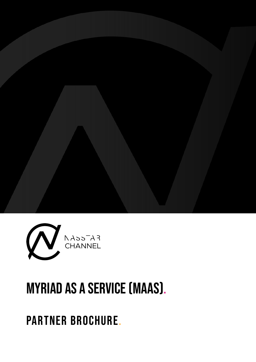

# MYRIAD AS A SERVICE (MAAS).

PARTNER BROCHURE.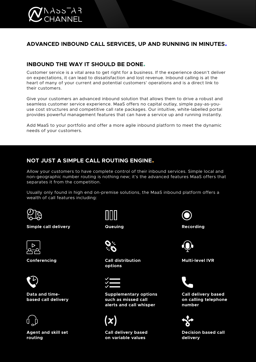

# **ADVANCED INBOUND CALL SERVICES, UP AND RUNNING IN MINUTES.**

# **INBOUND THE WAY IT SHOULD BE DONE.**

Customer service is a vital area to get right for a business. If the experience doesn't deliver on expectations, it can lead to dissatisfaction and lost revenue. Inbound calling is at the heart of many of your current and potential customers' operations and is a direct link to their customers.

Give your customers an advanced inbound solution that allows them to drive a robust and seamless customer service experience. MaaS offers no capital outlay, simple pay-as-youuse cost structures and competitive call rate packages. Our intuitive, white-labelled portal provides powerful management features that can have a service up and running instantly.

Add MaaS to your portfolio and offer a more agile inbound platform to meet the dynamic needs of your customers.

# **NOT JUST A SIMPLE CALL ROUTING ENGINE.**

Allow your customers to have complete control of their inbound services. Simple local and non-geographic number routing is nothing new; it's the advanced features MaaS offers that separates it from the competition.

Usually only found in high end on-premise solutions, the MaaS inbound platform offers a wealth of call features including:



**Simple call delivery**



**Conferencing**



**Data and timebased call delivery**



**Agent and skill set routing**

**Queuing**



**Call distribution options**



**Supplementary options such as missed call alerts and call whisper**

**Call delivery based on variable values**



**Recording**



**Multi-level IVR**



**Call delivery based on calling telephone number**



**Decision based call delivery**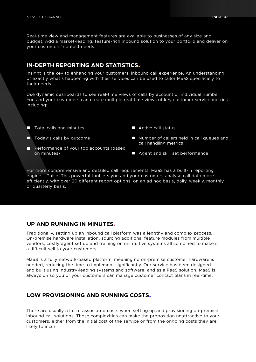Real-time view and management features are available to businesses of any size and budget. Add a market-leading, feature-rich inbound solution to your portfolio and deliver on your customers' contact needs.

# **IN-DEPTH REPORTING AND STATISTICS.**

Insight is the key to enhancing your customers' inbound call experience. An understanding of exactly what's happening with their services can be used to tailor MaaS specifically to their needs.

Use dynamic dashboards to see real-time views of calls by account or individual number. You and your customers can create multiple real-time views of key customer service metrics including:

- **T** Total calls and minutes
- **T** Today's calls by outcome
- **Performance of your top accounts (based** on minutes)
- Active call status
- Number of callers held in call queues and call handling metrics
- **Agent and skill set performance**

For more comprehensive and detailed call requirements, MaaS has a built-in reporting engine – Pulse. This powerful tool lets you and your customers analyse call data more efficiently, with over 20 different report options, on an ad hoc basis, daily, weekly, monthly or quarterly basis.

# **UP AND RUNNING IN MINUTES.**

Traditionally, setting up an inbound call platform was a lengthy and complex process. On-premise hardware installation, sourcing additional feature modules from multiple vendors, costly agent set up and training on unintuitive systems all combined to make it a difficult sell to your customers.

MaaS is a fully network-based platform, meaning no on-premise customer hardware is needed, reducing the time to implement significantly. Our service has been designed and built using industry-leading systems and software, and as a PaaS solution, MaaS is always on so you or your customers can manage customer contact plans in real-time.

# **LOW PROVISIONING AND RUNNING COSTS.**

There are usually a lot of associated costs when setting up and provisioning on-premise inbound call solutions. These complexities can make the proposition unattractive to your customers, either from the initial cost of the service or from the ongoing costs they are likely to incur.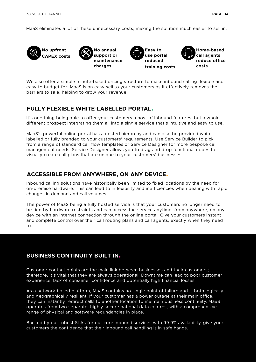MaaS eliminates a lot of these unnecessary costs, making the solution much easier to sell in:



We also offer a simple minute-based pricing structure to make inbound calling flexible and easy to budget for. MaaS is an easy sell to your customers as it effectively removes the barriers to sale, helping to grow your revenue.

# **FULLY FLEXIBLE WHITE-LABELLED PORTAL.**

It's one thing being able to offer your customers a host of inbound features, but a whole different prospect integrating them all into a single service that's intuitive and easy to use.

MaaS's powerful online portal has a nested hierarchy and can also be provided whitelabelled or fully branded to your customers' requirements. Use Service Builder to pick from a range of standard call flow templates or Service Designer for more bespoke call management needs. Service Designer allows you to drag and drop functional nodes to visually create call plans that are unique to your customers' businesses.

# **ACCESSIBLE FROM ANYWHERE, ON ANY DEVICE.**

Inbound calling solutions have historically been limited to fixed locations by the need for on-premise hardware. This can lead to inflexibility and inefficiencies when dealing with rapid changes in demand and call volumes.

The power of MaaS being a fully hosted service is that your customers no longer need to be tied by hardware restraints and can access the service anytime, from anywhere, on any device with an internet connection through the online portal. Give your customers instant and complete control over their call routing plans and call agents, exactly when they need to.

# **BUSINESS CONTINUITY BUILT IN.**

Customer contact points are the main link between businesses and their customers; therefore, it's vital that they are always operational. Downtime can lead to poor customer experience, lack of consumer confidence and potentially high financial losses.

As a network-based platform, MaaS contains no single point of failure and is both logically and geographically resilient. If your customer has a power outage at their main office, they can instantly redirect calls to another location to maintain business continuity. MaaS operates from two separate, highly secure national data centres, with a comprehensive range of physical and software redundancies in place.

Backed by our robust SLAs for our core inbound services with 99.9% availability, give your customers the confidence that their inbound call handling is in safe hands.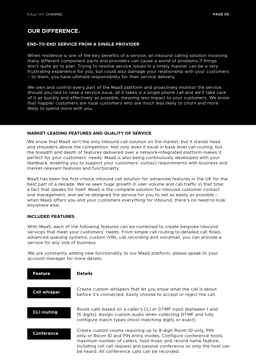# **OUR DIFFERENCE.**

#### **END-TO-END SERVICE FROM A SINGLE PROVIDER**

When resilience is one of the key benefits of a service, an inbound calling solution involving many different component parts and providers can cause a world of problems if things don't quite go to plan. Trying to resolve service issues in a timely manner can be a very frustrating experience for you, but could also damage your relationship with your customers – to them, you have ultimate responsibility for their service delivery.

We own and control every part of the MaaS platform and proactively monitor the service. Should you ned to raise a service issue, all it takes is a single phone call and we'll take care of it as quickly and effectively as possible, meaning less impact to your customers. We know that happier customers are loyal customers who are much less likely to churn and more likely to spend more with you.

#### **MARKET-LEADING FEATURES AND QUALITY OF SERVICE**

We know that MaaS isn't the only inbound call solution on the market, but it stands head and shoulders above the competition. Not only does it excel in base level call routing, but the breadth and depth of features delivered over a network-integrated platform makes it perfect for your customers' needs. MaaS is also being continuously developed with your feedback, enabling you to support your customers' contact requirements with business and market-relevant features and functionality.

MaaS has been the first-choice inbound call solution for advanced features in the UK for the best part of a decade. We've seen huge growth in user volume and call traffic in that time; a fact that speaks for itself. MaaS is the complete solution for inbound customer contact and management, and we've designed the service for you to sell as easily as possible – when MaaS offers you and your customers everything for inbound, there's no need to look anywhere else.

#### **INCLUDED FEATURES**

With MaaS, each of the following features can be combined to create bespoke inbound services that meet your customers' needs. From simple call routing to detailed call flows, advanced queuing systems, custom IVRs, call recording and voicemail, you can provide a service for any size of business.

We are constantly adding new functionality to our MaaS platform; please speak to your account manager for more details.

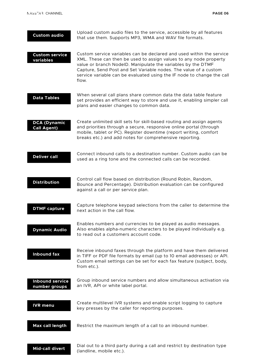| <b>Custom audio</b>                       | Upload custom audio files to the service, accessible by all features<br>that use them. Supports MP3, WMA and WAV file formats.                                                                                                                                                                                                                                   |
|-------------------------------------------|------------------------------------------------------------------------------------------------------------------------------------------------------------------------------------------------------------------------------------------------------------------------------------------------------------------------------------------------------------------|
| <b>Custom service</b><br>variables        | Custom service variables can be declared and used within the service<br>XML. These can then be used to assign values to any node property<br>value or branch NodelD. Manipulate the variables by the DTMF<br>Capture, Send Post and Set Variable nodes. The value of a custom<br>service variable can be evaluated using the IF node to change the call<br>flow. |
| <b>Data Tables</b>                        | When several call plans share common data the data table feature<br>set provides an efficient way to store and use it, enabling simpler call<br>plans and easier changes to common data.                                                                                                                                                                         |
| <b>DCA (Dynamic</b><br><b>Call Agent)</b> | Create unlimited skill sets for skill-based routing and assign agents<br>and priorities through a secure, responsive online portal (through<br>mobile, tablet or PC). Register downtime (report writing, comfort<br>breaks etc.) and add notes for comprehensive reporting.                                                                                      |
| <b>Deliver call</b>                       | Connect inbound calls to a destination number. Custom audio can be<br>used as a ring tone and the connected calls can be recorded.                                                                                                                                                                                                                               |
| <b>Distribution</b>                       | Control call flow based on distribution (Round Robin, Random,<br>Bounce and Percentage). Distribution evaluation can be configured<br>against a call or per service plan.                                                                                                                                                                                        |
| <b>DTMF capture</b>                       | Capture telephone keypad selections from the caller to determine the<br>next action in the call flow.                                                                                                                                                                                                                                                            |
| <b>Dynamic Audio</b>                      | Enables numbers and currencies to be played as audio messages.<br>Also enables alpha-numeric characters to be played individually e.g.<br>to read out a customers account code.                                                                                                                                                                                  |
| <b>Inbound fax</b>                        | Receive inbound faxes through the platform and have them delivered<br>in TIFF or PDF file formats by email (up to 10 email addresses) or API.<br>Custom email settings can be set for each fax feature (subject, body,<br>from etc.).                                                                                                                            |
| <b>Inbound service</b><br>number groups   | Group inbound service numbers and allow simultaneous activation via<br>an IVR, API or white label portal.                                                                                                                                                                                                                                                        |
| <b>IVR</b> menu                           | Create multilevel IVR systems and enable script logging to capture<br>key presses by the caller for reporting purposes.                                                                                                                                                                                                                                          |
| Max call length                           | Restrict the maximum length of a call to an inbound number.                                                                                                                                                                                                                                                                                                      |
| <b>Mid-call divert</b>                    | Dial out to a third party during a call and restrict by destination type<br>(landline, mobile etc.).                                                                                                                                                                                                                                                             |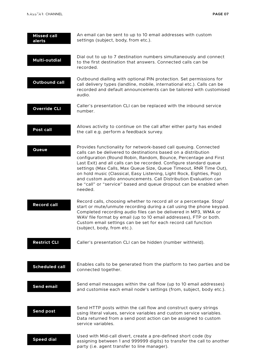| <b>Missed call</b><br>alerts | An email can be sent to up to 10 email addresses with custom<br>settings (subject, body, from etc.).                                                                                                                                                                                                                                                                                                                                                                                                                                                                            |
|------------------------------|---------------------------------------------------------------------------------------------------------------------------------------------------------------------------------------------------------------------------------------------------------------------------------------------------------------------------------------------------------------------------------------------------------------------------------------------------------------------------------------------------------------------------------------------------------------------------------|
| <b>Multi-outdial</b>         | Dial out to up to 7 destination numbers simultaneously and connect<br>to the first destination that answers. Connected calls can be<br>recorded.                                                                                                                                                                                                                                                                                                                                                                                                                                |
| <b>Outbound call</b>         | Outbound dialling with optional PIN protection. Set permissions for<br>call delivery types (landline, mobile, international etc.). Calls can be<br>recorded and default announcements can be tailored with customised<br>audio.                                                                                                                                                                                                                                                                                                                                                 |
| <b>Override CLI</b>          | Caller's presentation CLI can be replaced with the inbound service<br>number.                                                                                                                                                                                                                                                                                                                                                                                                                                                                                                   |
| Post call                    | Allows activity to continue on the call after either party has ended<br>the call e.g. perform a feedback survey.                                                                                                                                                                                                                                                                                                                                                                                                                                                                |
| <b>Queue</b>                 | Provides functionality for network-based call queuing. Connected<br>calls can be delivered to destinations based on a distribution<br>configuration (Round Robin, Random, Bounce, Percentage and First<br>Last Exit) and all calls can be recorded. Configure standard queue<br>settings (Max Calls, Max Queue Size, Queue Timeout, RNR Time Out),<br>on hold music (Classical, Easy Listening, Light Rock, Eighties, Pop)<br>and custom audio announcements. Call Distribution Evaluation can<br>be "call" or "service" based and queue dropout can be enabled when<br>needed. |
| <b>Record call</b>           | Record calls, choosing whether to record all or a percentage. Stop/<br>start or mute/unmute recording during a call using the phone keypad.<br>Completed recording audio files can be delivered in MP3, WMA or<br>WAV file format by email (up to 10 email addresses), FTP or both.<br>Custom email settings can be set for each record call function<br>(subject, body, from etc.).                                                                                                                                                                                            |
| <b>Restrict CLI</b>          | Caller's presentation CLI can be hidden (number withheld).                                                                                                                                                                                                                                                                                                                                                                                                                                                                                                                      |
| <b>Scheduled call</b>        | Enables calls to be generated from the platform to two parties and be<br>connected together.                                                                                                                                                                                                                                                                                                                                                                                                                                                                                    |
| <b>Send email</b>            | Send email messages within the call flow (up to 10 email addresses)<br>and customise each email node's settings (from, subject, body etc.).                                                                                                                                                                                                                                                                                                                                                                                                                                     |
| <b>Send post</b>             | Send HTTP posts within the call flow and construct query strings<br>using literal values, service variables and custom service variables.<br>Data returned from a send post action can be assigned to custom<br>service variables.                                                                                                                                                                                                                                                                                                                                              |
| <b>Speed dial</b>            | Used with Mid-call divert, create a pre-defined short code (by<br>assigning between 1 and 999999 digits) to transfer the call to another                                                                                                                                                                                                                                                                                                                                                                                                                                        |

party (i.e. agent transfer to line manager).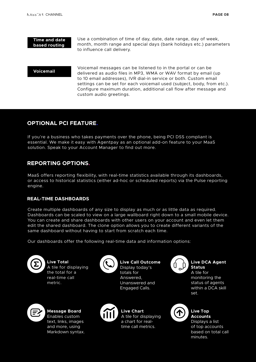#### **Time and date based routing**

Use a combination of time of day, date, date range, day of week, month, month range and special days (bank holidays etc.) parameters to influence call delivery.

#### **Voicemail**

Voicemail messages can be listened to in the portal or can be delivered as audio files in MP3, WMA or WAV format by email (up to 10 email addresses), IVR dial-in service or both. Custom email settings can be set for each voicemail used (subject, body, from etc.). Configure maximum duration, additional call flow after message and custom audio greetings.

# **OPTIONAL PCI FEATURE.**

If you're a business who takes payments over the phone, being PCI DSS compliant is essential. We make it easy with Agentpay as an optional add-on feature to your MaaS solution. Speak to your Account Manager to find out more.

# **REPORTING OPTIONS.**

MaaS offers reporting flexibility, with real-time statistics available through its dashboards, or access to historical statistics (either ad-hoc or scheduled reports) via the Pulse reporting engine.

### **REAL-TIME DASHBOARDS**

Create multiple dashboards of any size to display as much or as little data as required. Dashboards can be scaled to view on a large wallboard right down to a small mobile device. You can create and share dashboards with other users on your account and even let them edit the shared dashboard. The clone option allows you to create different variants of the same dashboard without having to start from scratch each time.

Our dashboards offer the following real-time data and information options:



**Live Total** A tile for displaying the total for a real-time call metric.



**Live Call Outcome** Display today's totals for Answered, Unanswered and

Engaged Calls.



**Message Board** Enables custom text, links, images and more, using Markdown syntax.



**Live Chart** A tile for displaying a chart for realtime call metrics.



#### **Live DCA Agent Status**

A tile for monitoring the status of agents within a DCA skill set.



# **Live Top Accounts**

Displays a list of top accounts based on total call minutes.